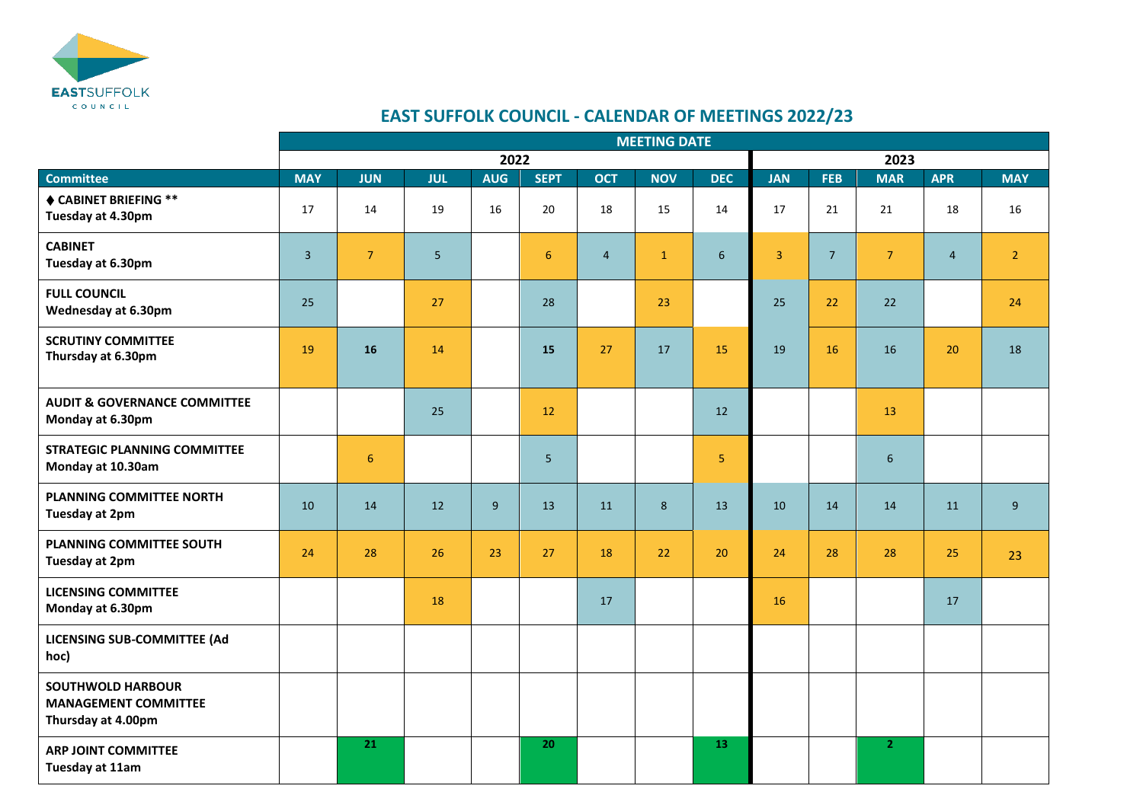

## **EAST SUFFOLK COUNCIL - CALENDAR OF MEETINGS 2022/23**

|                                                                               | <b>MEETING DATE</b> |                 |            |                |                 |                |                |                |                |                |                |                |                |  |
|-------------------------------------------------------------------------------|---------------------|-----------------|------------|----------------|-----------------|----------------|----------------|----------------|----------------|----------------|----------------|----------------|----------------|--|
|                                                                               | 2022                |                 |            |                |                 |                |                | 2023           |                |                |                |                |                |  |
| <b>Committee</b>                                                              | <b>MAY</b>          | <b>JUN</b>      | <b>JUL</b> | <b>AUG</b>     | <b>SEPT</b>     | <b>OCT</b>     | <b>NOV</b>     | <b>DEC</b>     | <b>JAN</b>     | <b>FEB</b>     | <b>MAR</b>     | <b>APR</b>     | <b>MAY</b>     |  |
| ♦ CABINET BRIEFING **<br>Tuesday at 4.30pm                                    | 17                  | 14              | 19         | 16             | 20              | 18             | 15             | 14             | 17             | 21             | 21             | 18             | 16             |  |
| <b>CABINET</b><br>Tuesday at 6.30pm                                           | $\overline{3}$      | $\overline{7}$  | 5          |                | 6               | $\overline{4}$ | $\mathbf{1}$   | $6\phantom{1}$ | $\overline{3}$ | $\overline{7}$ | 7 <sup>1</sup> | $\overline{4}$ | 2 <sup>1</sup> |  |
| <b>FULL COUNCIL</b><br>Wednesday at 6.30pm                                    | 25                  |                 | 27         |                | 28              |                | 23             |                | 25             | 22             | 22             |                | 24             |  |
| <b>SCRUTINY COMMITTEE</b><br>Thursday at 6.30pm                               | 19                  | 16              | 14         |                | 15              | 27             | 17             | 15             | 19             | 16             | 16             | 20             | 18             |  |
| <b>AUDIT &amp; GOVERNANCE COMMITTEE</b><br>Monday at 6.30pm                   |                     |                 | 25         |                | 12              |                |                | 12             |                |                | 13             |                |                |  |
| <b>STRATEGIC PLANNING COMMITTEE</b><br>Monday at 10.30am                      |                     | $6\phantom{1}6$ |            |                | $5\overline{5}$ |                |                | 5              |                |                | 6              |                |                |  |
| PLANNING COMMITTEE NORTH<br>Tuesday at 2pm                                    | 10                  | 14              | 12         | $\overline{9}$ | 13              | 11             | 8 <sup>°</sup> | 13             | 10             | 14             | 14             | 11             | 9 <sup>°</sup> |  |
| <b>PLANNING COMMITTEE SOUTH</b><br>Tuesday at 2pm                             | 24                  | 28              | 26         | 23             | 27              | 18             | 22             | 20             | 24             | 28             | 28             | 25             | 23             |  |
| <b>LICENSING COMMITTEE</b><br>Monday at 6.30pm                                |                     |                 | 18         |                |                 | 17             |                |                | 16             |                |                | 17             |                |  |
| LICENSING SUB-COMMITTEE (Ad<br>hoc)                                           |                     |                 |            |                |                 |                |                |                |                |                |                |                |                |  |
| <b>SOUTHWOLD HARBOUR</b><br><b>MANAGEMENT COMMITTEE</b><br>Thursday at 4.00pm |                     |                 |            |                |                 |                |                |                |                |                |                |                |                |  |
| <b>ARP JOINT COMMITTEE</b><br>Tuesday at 11am                                 |                     | 21              |            |                | 20              |                |                | 13             |                |                | 2 <sup>1</sup> |                |                |  |